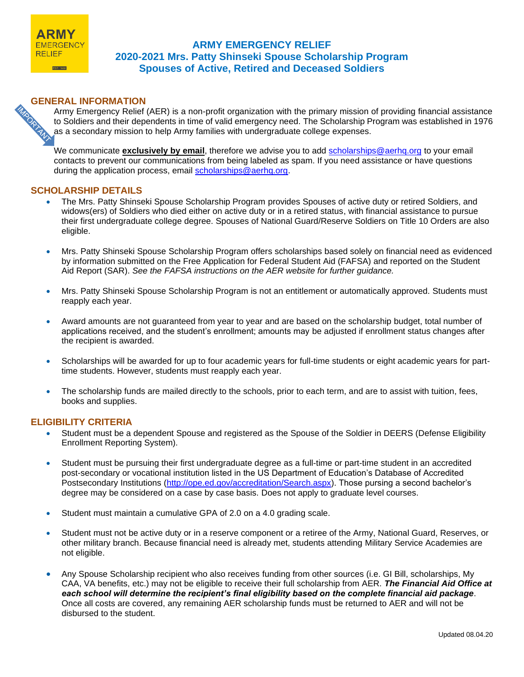

# **ARMY EMERGENCY RELIEF 2020-2021 Mrs. Patty Shinseki Spouse Scholarship Program Spouses of Active, Retired and Deceased Soldiers**

**GENERAL INFORMATION**<br>Army Emergency Relief<br>to Soldiers and their dependence of the secondary mission to Army Emergency Relief (AER) is a non-profit organization with the primary mission of providing financial assistance to Soldiers and their dependents in time of valid emergency need. The Scholarship Program was established in 1976 as a secondary mission to help Army families with undergraduate college expenses.

We communicate **exclusively by email**, therefore we advise you to add [scholarships@aerhq.org](mailto:scholarships@aerhq.org) to your email contacts to prevent our communications from being labeled as spam. If you need assistance or have questions during the application process, email [scholarships@aerhq.org.](mailto:scholarships@aerhq.org)

## **SCHOLARSHIP DETAILS**

- The Mrs. Patty Shinseki Spouse Scholarship Program provides Spouses of active duty or retired Soldiers, and widows(ers) of Soldiers who died either on active duty or in a retired status, with financial assistance to pursue their first undergraduate college degree. Spouses of National Guard/Reserve Soldiers on Title 10 Orders are also eligible.
- Mrs. Patty Shinseki Spouse Scholarship Program offers scholarships based solely on financial need as evidenced by information submitted on the Free Application for Federal Student Aid (FAFSA) and reported on the Student Aid Report (SAR). *See the FAFSA instructions on the AER website for further guidance.*
- Mrs. Patty Shinseki Spouse Scholarship Program is not an entitlement or automatically approved. Students must reapply each year.
- Award amounts are not guaranteed from year to year and are based on the scholarship budget, total number of applications received, and the student's enrollment; amounts may be adjusted if enrollment status changes after the recipient is awarded.
- Scholarships will be awarded for up to four academic years for full-time students or eight academic years for parttime students. However, students must reapply each year.
- The scholarship funds are mailed directly to the schools, prior to each term, and are to assist with tuition, fees, books and supplies.

## **ELIGIBILITY CRITERIA**

- Student must be a dependent Spouse and registered as the Spouse of the Soldier in DEERS (Defense Eligibility Enrollment Reporting System).
- Student must be pursuing their first undergraduate degree as a full-time or part-time student in an accredited post-secondary or vocational institution listed in the US Department of Education's Database of Accredited Postsecondary Institutions [\(http://ope.ed.gov/accreditation/Search.aspx\)](http://ope.ed.gov/accreditation/Search.aspx). Those pursing a second bachelor's degree may be considered on a case by case basis. Does not apply to graduate level courses.
- Student must maintain a cumulative GPA of 2.0 on a 4.0 grading scale.
- Student must not be active duty or in a reserve component or a retiree of the Army, National Guard, Reserves, or other military branch. Because financial need is already met, students attending Military Service Academies are not eligible.
- Any Spouse Scholarship recipient who also receives funding from other sources (i.e. GI Bill, scholarships, My CAA, VA benefits, etc.) may not be eligible to receive their full scholarship from AER. *The Financial Aid Office at each school will determine the recipient's final eligibility based on the complete financial aid package*. Once all costs are covered, any remaining AER scholarship funds must be returned to AER and will not be disbursed to the student.